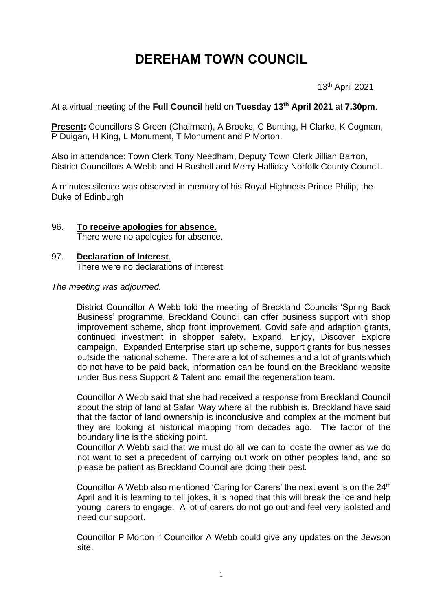# **DEREHAM TOWN COUNCIL**

13th April 2021

At a virtual meeting of the **Full Council** held on **Tuesday 13th April 2021** at **7.30pm**.

**Present:** Councillors S Green (Chairman), A Brooks, C Bunting, H Clarke, K Cogman, P Duigan, H King, L Monument, T Monument and P Morton.

Also in attendance: Town Clerk Tony Needham, Deputy Town Clerk Jillian Barron, District Councillors A Webb and H Bushell and Merry Halliday Norfolk County Council.

A minutes silence was observed in memory of his Royal Highness Prince Philip, the Duke of Edinburgh

#### 96. **To receive apologies for absence.** There were no apologies for absence.

## 97. **Declaration of Interest**.

There were no declarations of interest.

*The meeting was adjourned.*

District Councillor A Webb told the meeting of Breckland Councils 'Spring Back Business' programme, Breckland Council can offer business support with shop improvement scheme, shop front improvement, Covid safe and adaption grants, continued investment in shopper safety, Expand, Enjoy, Discover Explore campaign, Expanded Enterprise start up scheme, support grants for businesses outside the national scheme. There are a lot of schemes and a lot of grants which do not have to be paid back, information can be found on the Breckland website under Business Support & Talent and email the regeneration team.

Councillor A Webb said that she had received a response from Breckland Council about the strip of land at Safari Way where all the rubbish is, Breckland have said that the factor of land ownership is inconclusive and complex at the moment but they are looking at historical mapping from decades ago. The factor of the boundary line is the sticking point.

Councillor A Webb said that we must do all we can to locate the owner as we do not want to set a precedent of carrying out work on other peoples land, and so please be patient as Breckland Council are doing their best.

Councillor A Webb also mentioned 'Caring for Carers' the next event is on the 24<sup>th</sup> April and it is learning to tell jokes, it is hoped that this will break the ice and help young carers to engage. A lot of carers do not go out and feel very isolated and need our support.

Councillor P Morton if Councillor A Webb could give any updates on the Jewson site.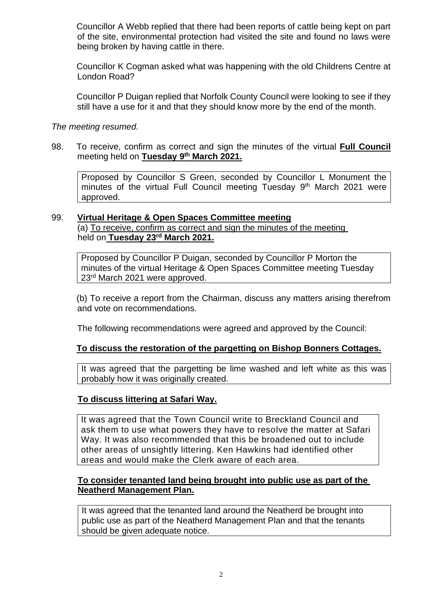Councillor A Webb replied that there had been reports of cattle being kept on part of the site, environmental protection had visited the site and found no laws were being broken by having cattle in there.

Councillor K Cogman asked what was happening with the old Childrens Centre at London Road?

Councillor P Duigan replied that Norfolk County Council were looking to see if they still have a use for it and that they should know more by the end of the month.

*The meeting resumed.*

98. To receive, confirm as correct and sign the minutes of the virtual **Full Council**  meeting held on **Tuesday 9 th March 2021.**

Proposed by Councillor S Green, seconded by Councillor L Monument the minutes of the virtual Full Council meeting Tuesday 9<sup>th</sup> March 2021 were approved.

## 99. **Virtual Heritage & Open Spaces Committee meeting**

(a) To receive, confirm as correct and sign the minutes of the meeting held on **Tuesday 23rd March 2021.**

Proposed by Councillor P Duigan, seconded by Councillor P Morton the minutes of the virtual Heritage & Open Spaces Committee meeting Tuesday 23rd March 2021 were approved.

(b) To receive a report from the Chairman, discuss any matters arising therefrom and vote on recommendations.

The following recommendations were agreed and approved by the Council:

# **To discuss the restoration of the pargetting on Bishop Bonners Cottages.**

It was agreed that the pargetting be lime washed and left white as this was probably how it was originally created.

# **To discuss littering at Safari Way.**

It was agreed that the Town Council write to Breckland Council and ask them to use what powers they have to resolve the matter at Safari Way. It was also recommended that this be broadened out to include other areas of unsightly littering. Ken Hawkins had identified other areas and would make the Clerk aware of each area.

## **To consider tenanted land being brought into public use as part of the Neatherd Management Plan.**

It was agreed that the tenanted land around the Neatherd be brought into public use as part of the Neatherd Management Plan and that the tenants should be given adequate notice.